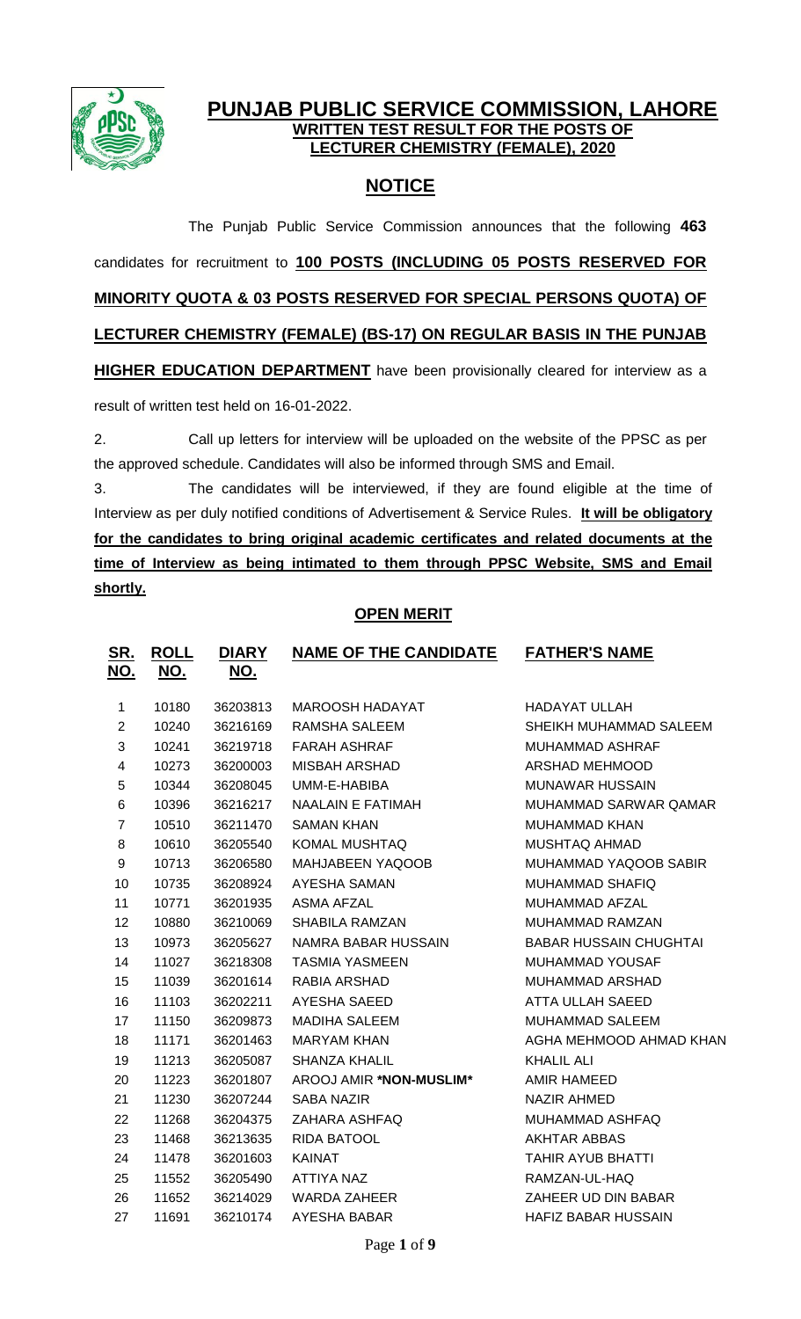

## **PUNJAB PUBLIC SERVICE COMMISSION, LAHORE WRITTEN TEST RESULT FOR THE POSTS OF LECTURER CHEMISTRY (FEMALE), 2020**

# **NOTICE**

The Punjab Public Service Commission announces that the following **463** candidates for recruitment to **100 POSTS (INCLUDING 05 POSTS RESERVED FOR MINORITY QUOTA & 03 POSTS RESERVED FOR SPECIAL PERSONS QUOTA) OF LECTURER CHEMISTRY (FEMALE) (BS-17) ON REGULAR BASIS IN THE PUNJAB HIGHER EDUCATION DEPARTMENT** have been provisionally cleared for interview as a result of written test held on 16-01-2022.

2. Call up letters for interview will be uploaded on the website of the PPSC as per the approved schedule. Candidates will also be informed through SMS and Email.

3. The candidates will be interviewed, if they are found eligible at the time of Interview as per duly notified conditions of Advertisement & Service Rules. **It will be obligatory for the candidates to bring original academic certificates and related documents at the time of Interview as being intimated to them through PPSC Website, SMS and Email shortly.**

## **OPEN MERIT**

| <u>SR.</u><br><u>NO.</u> | <u>ROLL</u><br><u>NO.</u> | <b>DIARY</b><br>NO. | <b>NAME OF THE CANDIDATE</b> | <b>FATHER'S NAME</b>          |
|--------------------------|---------------------------|---------------------|------------------------------|-------------------------------|
| $\mathbf{1}$             | 10180                     | 36203813            | <b>MAROOSH HADAYAT</b>       | <b>HADAYAT ULLAH</b>          |
| $\overline{2}$           | 10240                     | 36216169            | RAMSHA SALEEM                | SHEIKH MUHAMMAD SALEEM        |
| 3                        | 10241                     | 36219718            | <b>FARAH ASHRAF</b>          | <b>MUHAMMAD ASHRAF</b>        |
| $\overline{4}$           | 10273                     | 36200003            | <b>MISBAH ARSHAD</b>         | ARSHAD MEHMOOD                |
| 5                        | 10344                     | 36208045            | UMM-E-HABIBA                 | <b>MUNAWAR HUSSAIN</b>        |
| 6                        | 10396                     | 36216217            | <b>NAALAIN E FATIMAH</b>     | MUHAMMAD SARWAR QAMAR         |
| $\overline{7}$           | 10510                     | 36211470            | <b>SAMAN KHAN</b>            | <b>MUHAMMAD KHAN</b>          |
| 8                        | 10610                     | 36205540            | KOMAL MUSHTAQ                | <b>MUSHTAQ AHMAD</b>          |
| 9                        | 10713                     | 36206580            | <b>MAHJABEEN YAQOOB</b>      | MUHAMMAD YAQOOB SABIR         |
| 10                       | 10735                     | 36208924            | <b>AYESHA SAMAN</b>          | MUHAMMAD SHAFIQ               |
| 11                       | 10771                     | 36201935            | <b>ASMA AFZAL</b>            | MUHAMMAD AFZAL                |
| 12                       | 10880                     | 36210069            | <b>SHABILA RAMZAN</b>        | MUHAMMAD RAMZAN               |
| 13                       | 10973                     | 36205627            | <b>NAMRA BABAR HUSSAIN</b>   | <b>BABAR HUSSAIN CHUGHTAI</b> |
| 14                       | 11027                     | 36218308            | <b>TASMIA YASMEEN</b>        | MUHAMMAD YOUSAF               |
| 15                       | 11039                     | 36201614            | RABIA ARSHAD                 | <b>MUHAMMAD ARSHAD</b>        |
| 16                       | 11103                     | 36202211            | AYESHA SAEED                 | ATTA ULLAH SAEED              |
| 17                       | 11150                     | 36209873            | <b>MADIHA SALEEM</b>         | <b>MUHAMMAD SALEEM</b>        |
| 18                       | 11171                     | 36201463            | <b>MARYAM KHAN</b>           | AGHA MEHMOOD AHMAD KHAN       |
| 19                       | 11213                     | 36205087            | <b>SHANZA KHALIL</b>         | <b>KHALIL ALI</b>             |
| 20                       | 11223                     | 36201807            | AROOJ AMIR *NON-MUSLIM*      | AMIR HAMEED                   |
| 21                       | 11230                     | 36207244            | <b>SABA NAZIR</b>            | <b>NAZIR AHMED</b>            |
| 22                       | 11268                     | 36204375            | ZAHARA ASHFAQ                | MUHAMMAD ASHFAQ               |
| 23                       | 11468                     | 36213635            | RIDA BATOOL                  | <b>AKHTAR ABBAS</b>           |
| 24                       | 11478                     | 36201603            | <b>KAINAT</b>                | <b>TAHIR AYUB BHATTI</b>      |
| 25                       | 11552                     | 36205490            | <b>ATTIYA NAZ</b>            | RAMZAN-UL-HAQ                 |
| 26                       | 11652                     | 36214029            | <b>WARDA ZAHEER</b>          | ZAHEER UD DIN BABAR           |
| 27                       | 11691                     | 36210174            | <b>AYESHA BABAR</b>          | <b>HAFIZ BABAR HUSSAIN</b>    |
|                          |                           |                     |                              |                               |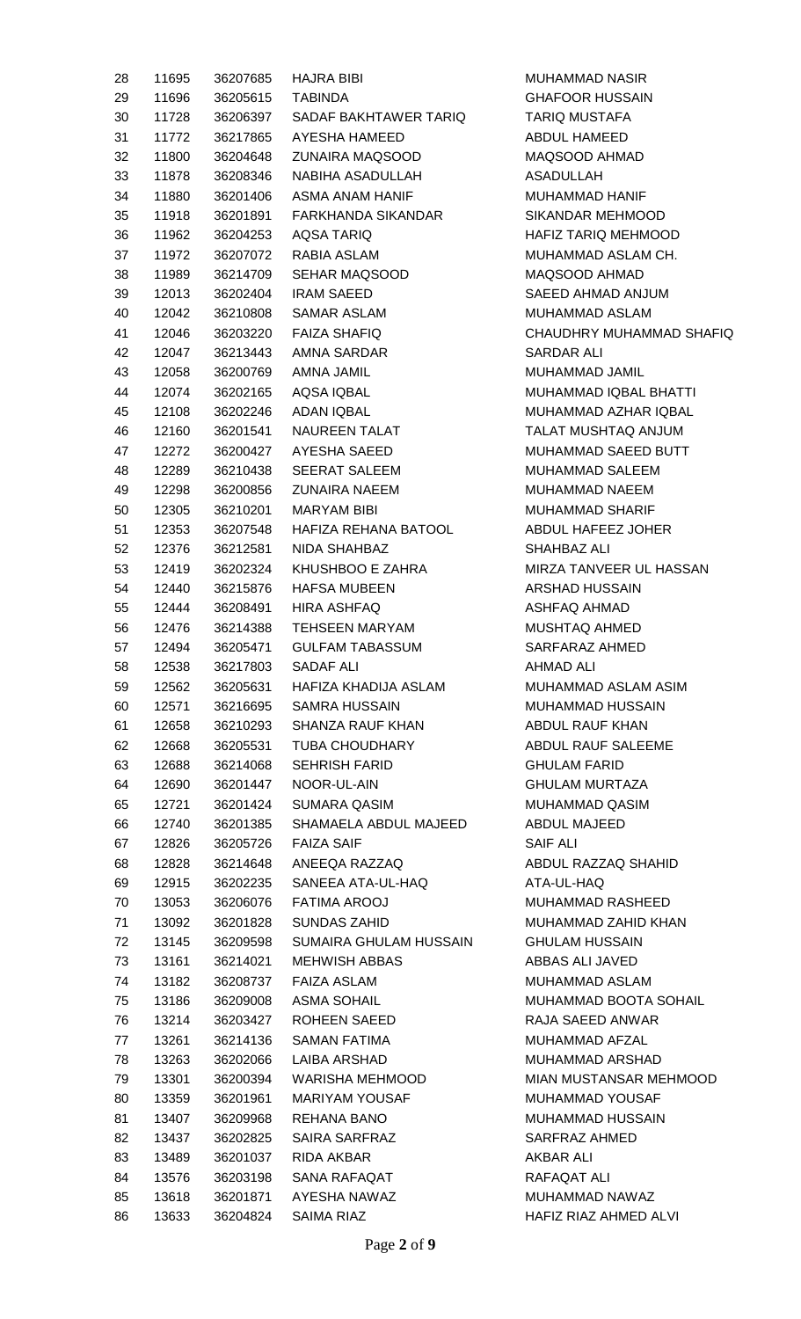| 28 | 11695 |          | 36207685 HAJRA BIBI    | <b>MUHAMMAD NASIR</b>      |
|----|-------|----------|------------------------|----------------------------|
| 29 | 11696 | 36205615 | <b>TABINDA</b>         | <b>GHAFOOR HUSSAIN</b>     |
| 30 | 11728 | 36206397 | SADAF BAKHTAWER TARIQ  | <b>TARIQ MUSTAFA</b>       |
| 31 | 11772 | 36217865 | AYESHA HAMEED          | ABDUL HAMEED               |
| 32 | 11800 | 36204648 | ZUNAIRA MAQSOOD        | MAQSOOD AHMAD              |
| 33 | 11878 | 36208346 | NABIHA ASADULLAH       | <b>ASADULLAH</b>           |
| 34 | 11880 | 36201406 | ASMA ANAM HANIF        | <b>MUHAMMAD HANIF</b>      |
| 35 | 11918 | 36201891 | FARKHANDA SIKANDAR     | SIKANDAR MEHMOOD           |
| 36 | 11962 | 36204253 | AQSA TARIQ             | <b>HAFIZ TARIQ MEHMOOD</b> |
| 37 | 11972 | 36207072 | RABIA ASLAM            | MUHAMMAD ASLAM CH.         |
| 38 | 11989 | 36214709 | SEHAR MAQSOOD          | MAQSOOD AHMAD              |
| 39 | 12013 | 36202404 | <b>IRAM SAEED</b>      | SAEED AHMAD ANJUM          |
| 40 | 12042 | 36210808 | SAMAR ASLAM            | MUHAMMAD ASLAM             |
| 41 | 12046 | 36203220 | <b>FAIZA SHAFIQ</b>    | CHAUDHRY MUHAMMAD SHAFIQ   |
| 42 | 12047 | 36213443 | AMNA SARDAR            | <b>SARDAR ALI</b>          |
| 43 | 12058 | 36200769 | AMNA JAMIL             | MUHAMMAD JAMIL             |
|    |       |          |                        |                            |
| 44 | 12074 | 36202165 | AQSA IQBAL             | MUHAMMAD IQBAL BHATTI      |
| 45 | 12108 | 36202246 | ADAN IQBAL             | MUHAMMAD AZHAR IQBAL       |
| 46 | 12160 | 36201541 | NAUREEN TALAT          | TALAT MUSHTAQ ANJUM        |
| 47 | 12272 | 36200427 | AYESHA SAEED           | MUHAMMAD SAEED BUTT        |
| 48 | 12289 | 36210438 | <b>SEERAT SALEEM</b>   | MUHAMMAD SALEEM            |
| 49 | 12298 | 36200856 | ZUNAIRA NAEEM          | MUHAMMAD NAEEM             |
| 50 | 12305 | 36210201 | <b>MARYAM BIBI</b>     | MUHAMMAD SHARIF            |
| 51 | 12353 | 36207548 | HAFIZA REHANA BATOOL   | ABDUL HAFEEZ JOHER         |
| 52 | 12376 | 36212581 | NIDA SHAHBAZ           | SHAHBAZ ALI                |
| 53 | 12419 | 36202324 | KHUSHBOO E ZAHRA       | MIRZA TANVEER UL HASSAN    |
| 54 | 12440 | 36215876 | <b>HAFSA MUBEEN</b>    | ARSHAD HUSSAIN             |
| 55 | 12444 | 36208491 | HIRA ASHFAQ            | ASHFAQ AHMAD               |
| 56 | 12476 | 36214388 | TEHSEEN MARYAM         | <b>MUSHTAQ AHMED</b>       |
| 57 | 12494 | 36205471 | <b>GULFAM TABASSUM</b> | SARFARAZ AHMED             |
| 58 | 12538 | 36217803 | SADAF ALI              | <b>AHMAD ALI</b>           |
| 59 | 12562 | 36205631 | HAFIZA KHADIJA ASLAM   | MUHAMMAD ASLAM ASIM        |
| 60 | 12571 | 36216695 | <b>SAMRA HUSSAIN</b>   | <b>MUHAMMAD HUSSAIN</b>    |
| 61 | 12658 | 36210293 | SHANZA RAUF KHAN       | ABDUL RAUF KHAN            |
| 62 |       |          | <b>TUBA CHOUDHARY</b>  | ABDUL RAUF SALEEME         |
|    | 12668 | 36205531 |                        |                            |
| 63 | 12688 | 36214068 | <b>SEHRISH FARID</b>   | <b>GHULAM FARID</b>        |
| 64 | 12690 | 36201447 | NOOR-UL-AIN            | <b>GHULAM MURTAZA</b>      |
| 65 | 12721 | 36201424 | SUMARA QASIM           | MUHAMMAD QASIM             |
| 66 | 12740 | 36201385 | SHAMAELA ABDUL MAJEED  | ABDUL MAJEED               |
| 67 | 12826 | 36205726 | <b>FAIZA SAIF</b>      | SAIF ALI                   |
| 68 | 12828 | 36214648 | ANEEQA RAZZAQ          | ABDUL RAZZAQ SHAHID        |
| 69 | 12915 | 36202235 | SANEEA ATA-UL-HAQ      | ATA-UL-HAQ                 |
| 70 | 13053 | 36206076 | <b>FATIMA AROOJ</b>    | MUHAMMAD RASHEED           |
| 71 | 13092 | 36201828 | <b>SUNDAS ZAHID</b>    | MUHAMMAD ZAHID KHAN        |
| 72 | 13145 | 36209598 | SUMAIRA GHULAM HUSSAIN | <b>GHULAM HUSSAIN</b>      |
| 73 | 13161 | 36214021 | <b>MEHWISH ABBAS</b>   | ABBAS ALI JAVED            |
| 74 | 13182 | 36208737 | FAIZA ASLAM            | MUHAMMAD ASLAM             |
| 75 | 13186 | 36209008 | <b>ASMA SOHAIL</b>     | MUHAMMAD BOOTA SOHAIL      |
| 76 | 13214 | 36203427 | ROHEEN SAEED           | RAJA SAEED ANWAR           |
| 77 | 13261 | 36214136 | SAMAN FATIMA           | MUHAMMAD AFZAL             |
| 78 | 13263 | 36202066 | LAIBA ARSHAD           | MUHAMMAD ARSHAD            |
| 79 | 13301 | 36200394 | WARISHA MEHMOOD        | MIAN MUSTANSAR MEHMOOD     |
| 80 | 13359 | 36201961 | <b>MARIYAM YOUSAF</b>  | MUHAMMAD YOUSAF            |
| 81 | 13407 | 36209968 | REHANA BANO            | MUHAMMAD HUSSAIN           |
| 82 | 13437 | 36202825 | SAIRA SARFRAZ          | SARFRAZ AHMED              |
|    |       |          |                        |                            |
| 83 | 13489 | 36201037 | RIDA AKBAR             | <b>AKBAR ALI</b>           |
| 84 | 13576 | 36203198 | SANA RAFAQAT           | RAFAQAT ALI                |
| 85 | 13618 | 36201871 | AYESHA NAWAZ           | MUHAMMAD NAWAZ             |
| 86 | 13633 | 36204824 | <b>SAIMA RIAZ</b>      | HAFIZ RIAZ AHMED ALVI      |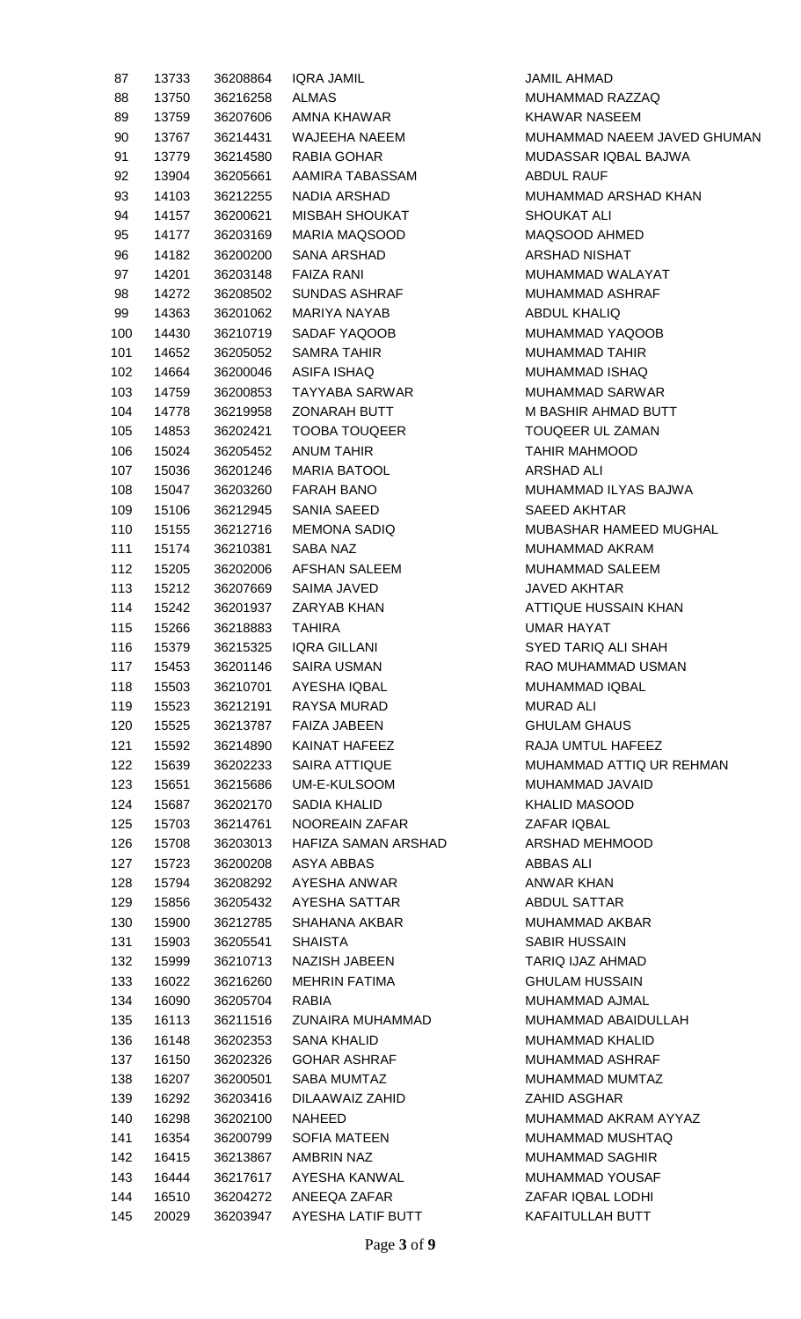| 87  | 13733 | 36208864 | <b>IQRA JAMIL</b>     | <b>JAMIL AHMAD</b>          |
|-----|-------|----------|-----------------------|-----------------------------|
| 88  | 13750 | 36216258 | <b>ALMAS</b>          | MUHAMMAD RAZZAQ             |
| 89  | 13759 | 36207606 | AMNA KHAWAR           | <b>KHAWAR NASEEM</b>        |
| 90  | 13767 | 36214431 | WAJEEHA NAEEM         | MUHAMMAD NAEEM JAVED GHUMAN |
| 91  | 13779 | 36214580 | RABIA GOHAR           | MUDASSAR IQBAL BAJWA        |
| 92  | 13904 | 36205661 | AAMIRA TABASSAM       | <b>ABDUL RAUF</b>           |
| 93  | 14103 | 36212255 | NADIA ARSHAD          | MUHAMMAD ARSHAD KHAN        |
| 94  | 14157 | 36200621 | <b>MISBAH SHOUKAT</b> | <b>SHOUKAT ALI</b>          |
| 95  | 14177 | 36203169 | MARIA MAQSOOD         | MAQSOOD AHMED               |
| 96  | 14182 | 36200200 | SANA ARSHAD           | <b>ARSHAD NISHAT</b>        |
| 97  | 14201 | 36203148 | <b>FAIZA RANI</b>     | MUHAMMAD WALAYAT            |
| 98  | 14272 | 36208502 | <b>SUNDAS ASHRAF</b>  | MUHAMMAD ASHRAF             |
| 99  | 14363 | 36201062 | MARIYA NAYAB          | <b>ABDUL KHALIQ</b>         |
| 100 | 14430 | 36210719 | SADAF YAQOOB          | MUHAMMAD YAQOOB             |
| 101 | 14652 | 36205052 | <b>SAMRA TAHIR</b>    | <b>MUHAMMAD TAHIR</b>       |
| 102 | 14664 | 36200046 | <b>ASIFA ISHAQ</b>    | MUHAMMAD ISHAQ              |
| 103 | 14759 | 36200853 | TAYYABA SARWAR        | <b>MUHAMMAD SARWAR</b>      |
| 104 | 14778 | 36219958 | <b>ZONARAH BUTT</b>   | M BASHIR AHMAD BUTT         |
| 105 | 14853 | 36202421 | <b>TOOBA TOUQEER</b>  | TOUQEER UL ZAMAN            |
| 106 | 15024 | 36205452 | <b>ANUM TAHIR</b>     | <b>TAHIR MAHMOOD</b>        |
| 107 | 15036 | 36201246 | <b>MARIA BATOOL</b>   | ARSHAD ALI                  |
|     |       |          | <b>FARAH BANO</b>     | MUHAMMAD ILYAS BAJWA        |
| 108 | 15047 | 36203260 |                       |                             |
| 109 | 15106 | 36212945 | SANIA SAEED           | <b>SAEED AKHTAR</b>         |
| 110 | 15155 | 36212716 | <b>MEMONA SADIQ</b>   | MUBASHAR HAMEED MUGHAL      |
| 111 | 15174 | 36210381 | SABA NAZ              | MUHAMMAD AKRAM              |
| 112 | 15205 | 36202006 | AFSHAN SALEEM         | MUHAMMAD SALEEM             |
| 113 | 15212 | 36207669 | SAIMA JAVED           | JAVED AKHTAR                |
| 114 | 15242 | 36201937 | ZARYAB KHAN           | <b>ATTIQUE HUSSAIN KHAN</b> |
| 115 | 15266 | 36218883 | <b>TAHIRA</b>         | <b>UMAR HAYAT</b>           |
| 116 | 15379 | 36215325 | <b>IQRA GILLANI</b>   | SYED TARIQ ALI SHAH         |
| 117 | 15453 | 36201146 | <b>SAIRA USMAN</b>    | RAO MUHAMMAD USMAN          |
| 118 | 15503 | 36210701 | AYESHA IQBAL          | <b>MUHAMMAD IQBAL</b>       |
| 119 | 15523 | 36212191 | RAYSA MURAD           | <b>MURAD ALI</b>            |
| 120 | 15525 | 36213787 | <b>FAIZA JABEEN</b>   | <b>GHULAM GHAUS</b>         |
| 121 | 15592 | 36214890 | KAINAT HAFEEZ         | RAJA UMTUL HAFEEZ           |
| 122 | 15639 | 36202233 | SAIRA ATTIQUE         | MUHAMMAD ATTIQ UR REHMAN    |
| 123 | 15651 | 36215686 | UM-E-KULSOOM          | MUHAMMAD JAVAID             |
| 124 | 15687 | 36202170 | SADIA KHALID          | <b>KHALID MASOOD</b>        |
| 125 | 15703 | 36214761 | NOOREAIN ZAFAR        | ZAFAR IQBAL                 |
| 126 | 15708 | 36203013 | HAFIZA SAMAN ARSHAD   | ARSHAD MEHMOOD              |
| 127 | 15723 | 36200208 | ASYA ABBAS            | <b>ABBAS ALI</b>            |
| 128 | 15794 | 36208292 | AYESHA ANWAR          | ANWAR KHAN                  |
| 129 | 15856 | 36205432 | AYESHA SATTAR         | ABDUL SATTAR                |
| 130 | 15900 | 36212785 | SHAHANA AKBAR         | MUHAMMAD AKBAR              |
| 131 | 15903 | 36205541 | <b>SHAISTA</b>        | <b>SABIR HUSSAIN</b>        |
| 132 | 15999 | 36210713 | NAZISH JABEEN         | TARIQ IJAZ AHMAD            |
| 133 | 16022 | 36216260 | <b>MEHRIN FATIMA</b>  | <b>GHULAM HUSSAIN</b>       |
| 134 | 16090 | 36205704 | RABIA                 | MUHAMMAD AJMAL              |
| 135 | 16113 | 36211516 | ZUNAIRA MUHAMMAD      | MUHAMMAD ABAIDULLAH         |
| 136 | 16148 | 36202353 | SANA KHALID           | MUHAMMAD KHALID             |
| 137 | 16150 | 36202326 | <b>GOHAR ASHRAF</b>   | MUHAMMAD ASHRAF             |
| 138 | 16207 | 36200501 | SABA MUMTAZ           | MUHAMMAD MUMTAZ             |
| 139 | 16292 | 36203416 | DILAAWAIZ ZAHID       | ZAHID ASGHAR                |
| 140 | 16298 | 36202100 | NAHEED                | MUHAMMAD AKRAM AYYAZ        |
| 141 | 16354 | 36200799 | <b>SOFIA MATEEN</b>   | MUHAMMAD MUSHTAQ            |
| 142 | 16415 | 36213867 | <b>AMBRIN NAZ</b>     | <b>MUHAMMAD SAGHIR</b>      |
| 143 | 16444 | 36217617 | AYESHA KANWAL         | MUHAMMAD YOUSAF             |
| 144 | 16510 | 36204272 | ANEEQA ZAFAR          | ZAFAR IQBAL LODHI           |
| 145 | 20029 | 36203947 | AYESHA LATIF BUTT     | KAFAITULLAH BUTT            |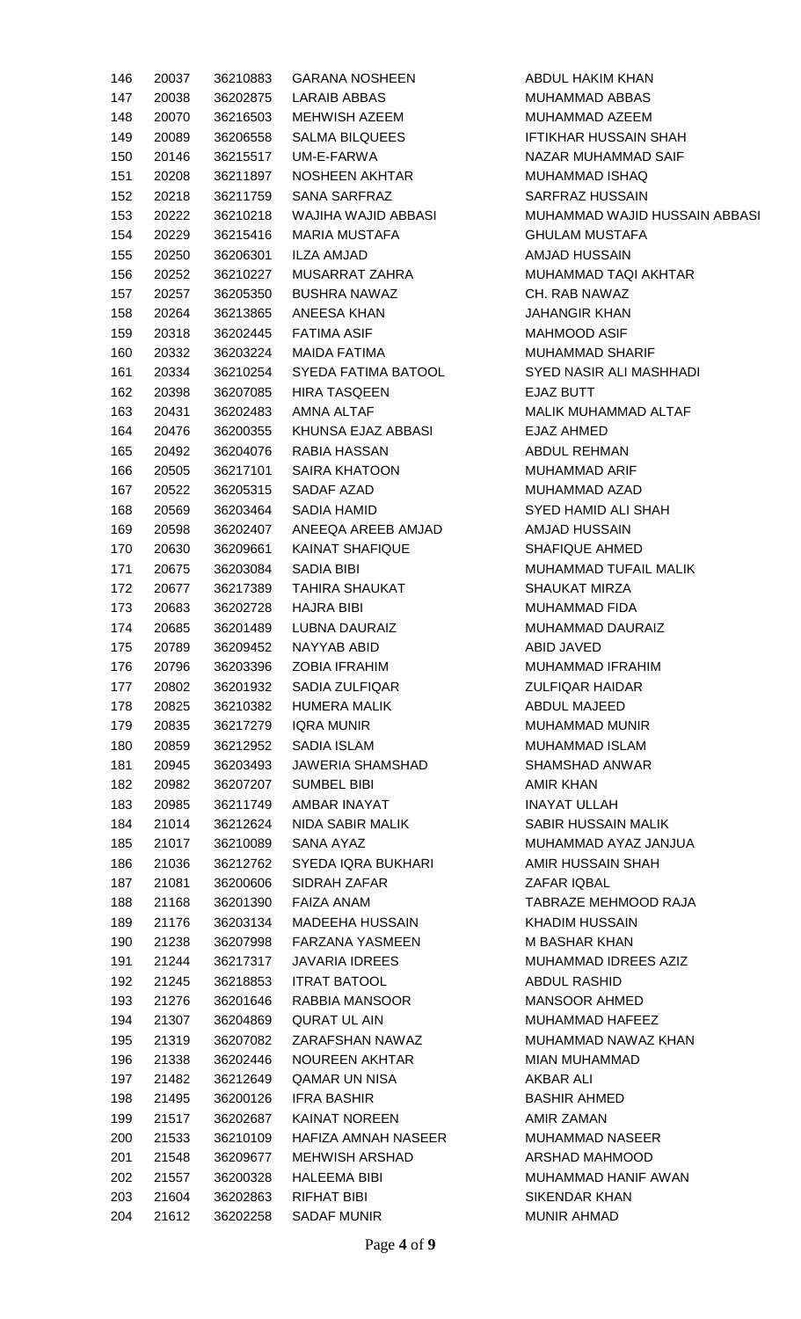| 146 | 20037          | 36210883             | <b>GARANA NOSHEEN</b>            | ABDUL HAKIM KHAN                 |
|-----|----------------|----------------------|----------------------------------|----------------------------------|
| 147 | 20038          | 36202875             | LARAIB ABBAS                     | MUHAMMAD ABBAS                   |
| 148 | 20070          | 36216503             | MEHWISH AZEEM                    | MUHAMMAD AZEEM                   |
| 149 | 20089          | 36206558             | <b>SALMA BILQUEES</b>            | <b>IFTIKHAR HUSSAIN SHAH</b>     |
| 150 | 20146          | 36215517             | UM-E-FARWA                       | NAZAR MUHAMMAD SAIF              |
| 151 | 20208          | 36211897             | NOSHEEN AKHTAR                   | MUHAMMAD ISHAQ                   |
| 152 | 20218          | 36211759             | SANA SARFRAZ                     | SARFRAZ HUSSAIN                  |
| 153 | 20222          | 36210218             | WAJIHA WAJID ABBASI              | MUHAMMAD WAJID HUSSAIN ABBASI    |
| 154 | 20229          | 36215416             | MARIA MUSTAFA                    | <b>GHULAM MUSTAFA</b>            |
| 155 | 20250          | 36206301             | ILZA AMJAD                       | AMJAD HUSSAIN                    |
| 156 | 20252          | 36210227             | MUSARRAT ZAHRA                   | MUHAMMAD TAQI AKHTAR             |
| 157 | 20257          | 36205350             | <b>BUSHRA NAWAZ</b>              | CH. RAB NAWAZ                    |
| 158 | 20264          | 36213865             | ANEESA KHAN                      | <b>JAHANGIR KHAN</b>             |
| 159 | 20318          | 36202445             | <b>FATIMA ASIF</b>               | <b>MAHMOOD ASIF</b>              |
| 160 | 20332          | 36203224             | MAIDA FATIMA                     | <b>MUHAMMAD SHARIF</b>           |
| 161 | 20334          | 36210254             | SYEDA FATIMA BATOOL              | SYED NASIR ALI MASHHADI          |
| 162 | 20398          | 36207085             | <b>HIRA TASQEEN</b>              | <b>EJAZ BUTT</b>                 |
| 163 | 20431          | 36202483             | AMNA ALTAF                       | MALIK MUHAMMAD ALTAF             |
| 164 | 20476          | 36200355             | KHUNSA EJAZ ABBASI               | EJAZ AHMED                       |
| 165 | 20492          | 36204076             | RABIA HASSAN                     | ABDUL REHMAN                     |
| 166 | 20505          | 36217101             | SAIRA KHATOON                    | <b>MUHAMMAD ARIF</b>             |
| 167 | 20522          | 36205315             | SADAF AZAD                       | MUHAMMAD AZAD                    |
| 168 | 20569          | 36203464             | SADIA HAMID                      | SYED HAMID ALI SHAH              |
| 169 | 20598          | 36202407             | ANEEQA AREEB AMJAD               | AMJAD HUSSAIN                    |
| 170 | 20630          | 36209661             | <b>KAINAT SHAFIQUE</b>           | SHAFIQUE AHMED                   |
| 171 | 20675          | 36203084             | SADIA BIBI                       | MUHAMMAD TUFAIL MALIK            |
| 172 | 20677          | 36217389             | <b>TAHIRA SHAUKAT</b>            | <b>SHAUKAT MIRZA</b>             |
| 173 | 20683          | 36202728             | HAJRA BIBI                       | <b>MUHAMMAD FIDA</b>             |
| 174 | 20685          | 36201489             | LUBNA DAURAIZ                    | <b>MUHAMMAD DAURAIZ</b>          |
| 175 | 20789          | 36209452             | NAYYAB ABID                      | ABID JAVED                       |
| 176 | 20796          | 36203396             | <b>ZOBIA IFRAHIM</b>             | MUHAMMAD IFRAHIM                 |
| 177 | 20802          | 36201932             | SADIA ZULFIQAR                   | <b>ZULFIQAR HAIDAR</b>           |
| 178 | 20825          | 36210382             | HUMERA MALIK                     | ABDUL MAJEED                     |
| 179 | 20835          | 36217279             | <b>IQRA MUNIR</b>                | <b>MUHAMMAD MUNIR</b>            |
| 180 | 20859          |                      | SADIA ISLAM                      | <b>MUHAMMAD ISLAM</b>            |
| 181 |                | 36212952             | JAWERIA SHAMSHAD                 | <b>SHAMSHAD ANWAR</b>            |
|     | 20945<br>20982 | 36203493<br>36207207 |                                  |                                  |
| 182 |                |                      | <b>SUMBEL BIBI</b>               | AMIR KHAN<br><b>INAYAT ULLAH</b> |
| 183 | 20985          | 36211749             | AMBAR INAYAT<br>NIDA SABIR MALIK |                                  |
| 184 | 21014          | 36212624             |                                  | SABIR HUSSAIN MALIK              |
| 185 | 21017          | 36210089             | SANA AYAZ                        | MUHAMMAD AYAZ JANJUA             |
| 186 | 21036          | 36212762             | SYEDA IQRA BUKHARI               | AMIR HUSSAIN SHAH                |
| 187 | 21081          | 36200606             | SIDRAH ZAFAR                     | ZAFAR IQBAL                      |
| 188 | 21168          | 36201390             | FAIZA ANAM                       | TABRAZE MEHMOOD RAJA             |
| 189 | 21176          | 36203134             | MADEEHA HUSSAIN                  | <b>KHADIM HUSSAIN</b>            |
| 190 | 21238          | 36207998             | FARZANA YASMEEN                  | M BASHAR KHAN                    |
| 191 | 21244          | 36217317             | JAVARIA IDREES                   | MUHAMMAD IDREES AZIZ             |
| 192 | 21245          | 36218853             | <b>ITRAT BATOOL</b>              | <b>ABDUL RASHID</b>              |
| 193 | 21276          | 36201646             | RABBIA MANSOOR                   | MANSOOR AHMED                    |
| 194 | 21307          | 36204869             | <b>QURAT UL AIN</b>              | MUHAMMAD HAFEEZ                  |
| 195 | 21319          | 36207082             | ZARAFSHAN NAWAZ                  | MUHAMMAD NAWAZ KHAN              |
| 196 | 21338          | 36202446             | NOUREEN AKHTAR                   | <b>MIAN MUHAMMAD</b>             |
| 197 | 21482          | 36212649             | QAMAR UN NISA                    | AKBAR ALI                        |
| 198 | 21495          | 36200126             | <b>IFRA BASHIR</b>               | <b>BASHIR AHMED</b>              |
| 199 | 21517          | 36202687             | KAINAT NOREEN                    | <b>AMIR ZAMAN</b>                |
| 200 | 21533          | 36210109             | HAFIZA AMNAH NASEER              | <b>MUHAMMAD NASEER</b>           |
| 201 | 21548          | 36209677             | <b>MEHWISH ARSHAD</b>            | ARSHAD MAHMOOD                   |
| 202 | 21557          | 36200328             | <b>HALEEMA BIBI</b>              | MUHAMMAD HANIF AWAN              |
| 203 | 21604          | 36202863             | RIFHAT BIBI                      | <b>SIKENDAR KHAN</b>             |
| 204 | 21612          | 36202258             | <b>SADAF MUNIR</b>               | <b>MUNIR AHMAD</b>               |
|     |                |                      |                                  |                                  |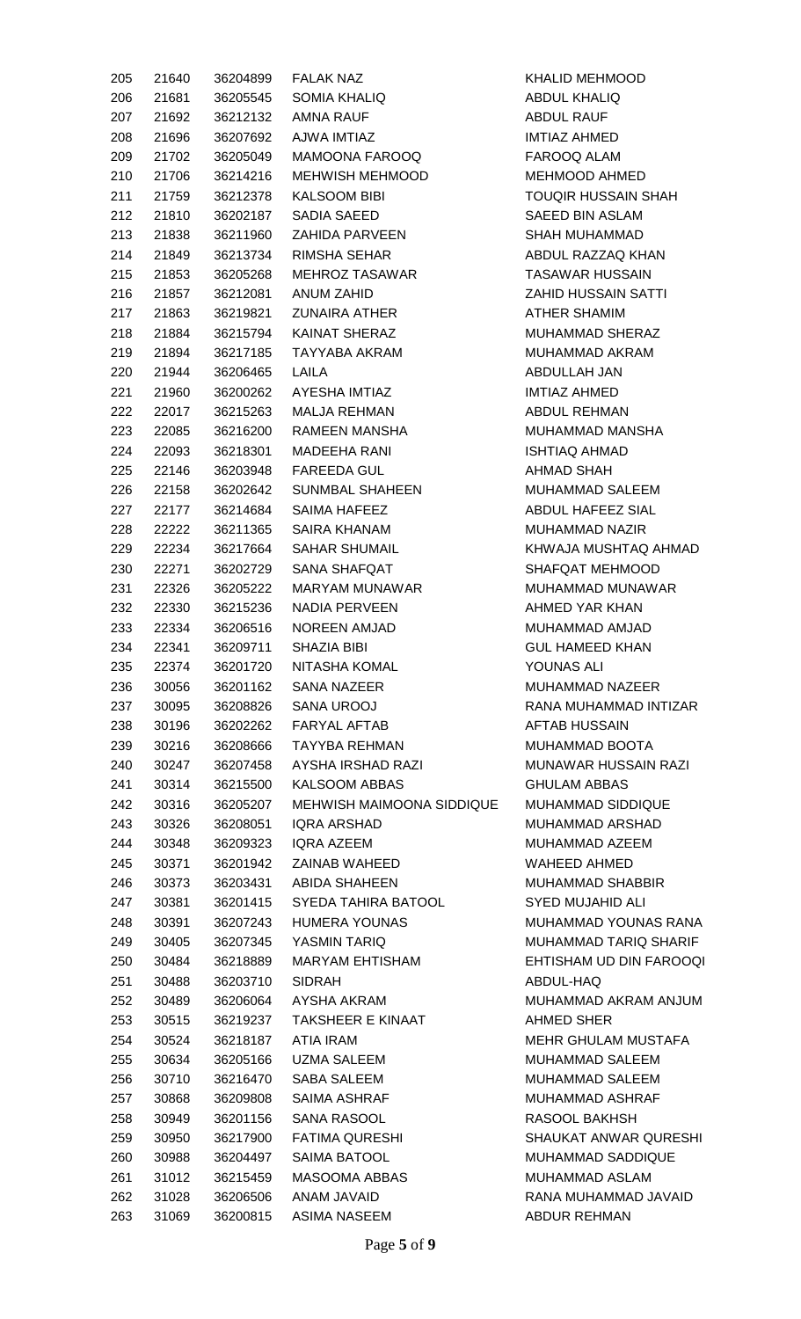| 205        | 21640          | 36204899             | <b>FALAK NAZ</b>                     | <b>KHALID MEHMOOD</b>              |
|------------|----------------|----------------------|--------------------------------------|------------------------------------|
| 206        | 21681          | 36205545             | <b>SOMIA KHALIQ</b>                  | <b>ABDUL KHALIQ</b>                |
| 207        | 21692          | 36212132             | AMNA RAUF                            | <b>ABDUL RAUF</b>                  |
| 208        | 21696          | 36207692             | AJWA IMTIAZ                          | IMTIAZ AHMED                       |
| 209        | 21702          | 36205049             | <b>MAMOONA FAROOQ</b>                | FAROOQ ALAM                        |
| 210        | 21706          | 36214216             | MEHWISH MEHMOOD                      | MEHMOOD AHMED                      |
| 211        | 21759          | 36212378             | <b>KALSOOM BIBI</b>                  | <b>TOUQIR HUSSAIN SHAH</b>         |
| 212        | 21810          | 36202187             | SADIA SAEED                          | SAEED BIN ASLAM                    |
| 213        | 21838          | 36211960             | ZAHIDA PARVEEN                       | <b>SHAH MUHAMMAD</b>               |
| 214        | 21849          | 36213734             | <b>RIMSHA SEHAR</b>                  | ABDUL RAZZAQ KHAN                  |
| 215        | 21853          | 36205268             | MEHROZ TASAWAR                       | <b>TASAWAR HUSSAIN</b>             |
| 216        | 21857          | 36212081             | ANUM ZAHID                           | <b>ZAHID HUSSAIN SATTI</b>         |
| 217        | 21863          | 36219821             | <b>ZUNAIRA ATHER</b>                 | <b>ATHER SHAMIM</b>                |
| 218        | 21884          | 36215794             | KAINAT SHERAZ                        | MUHAMMAD SHERAZ                    |
| 219        | 21894          | 36217185             | TAYYABA AKRAM                        | MUHAMMAD AKRAM                     |
| 220        | 21944          | 36206465             | LAILA                                | ABDULLAH JAN                       |
| 221        | 21960          | 36200262             | AYESHA IMTIAZ                        | <b>IMTIAZ AHMED</b>                |
| 222        | 22017          | 36215263             | MALJA REHMAN                         | ABDUL REHMAN                       |
| 223        | 22085          | 36216200             | RAMEEN MANSHA                        | MUHAMMAD MANSHA                    |
| 224        | 22093          | 36218301             | <b>MADEEHA RANI</b>                  | <b>ISHTIAQ AHMAD</b>               |
| 225        | 22146          | 36203948             | <b>FAREEDA GUL</b>                   | <b>AHMAD SHAH</b>                  |
| 226        | 22158          | 36202642             | SUNMBAL SHAHEEN                      | MUHAMMAD SALEEM                    |
|            |                |                      |                                      | ABDUL HAFEEZ SIAL                  |
| 227        | 22177          | 36214684             | SAIMA HAFEEZ                         | <b>MUHAMMAD NAZIR</b>              |
| 228        | 22222          | 36211365             | SAIRA KHANAM<br><b>SAHAR SHUMAIL</b> | KHWAJA MUSHTAQ AHMAD               |
| 229        | 22234          | 36217664             | SANA SHAFQAT                         | <b>SHAFQAT MEHMOOD</b>             |
| 230        | 22271          | 36202729<br>36205222 |                                      |                                    |
| 231        | 22326          |                      | MARYAM MUNAWAR                       | MUHAMMAD MUNAWAR<br>AHMED YAR KHAN |
| 232<br>233 | 22330          | 36215236             | NADIA PERVEEN                        | MUHAMMAD AMJAD                     |
| 234        | 22334<br>22341 | 36206516<br>36209711 | NOREEN AMJAD<br>SHAZIA BIBI          | <b>GUL HAMEED KHAN</b>             |
| 235        | 22374          | 36201720             | <b>NITASHA KOMAL</b>                 | YOUNAS ALI                         |
| 236        | 30056          | 36201162             | SANA NAZEER                          | MUHAMMAD NAZEER                    |
| 237        | 30095          | 36208826             | SANA UROOJ                           | RANA MUHAMMAD INTIZAR              |
| 238        | 30196          | 36202262             | <b>FARYAL AFTAB</b>                  | <b>AFTAB HUSSAIN</b>               |
| 239        | 30216          | 36208666             | <b>TAYYBA REHMAN</b>                 | MUHAMMAD BOOTA                     |
| 240        | 30247          | 36207458             | AYSHA IRSHAD RAZI                    | <b>MUNAWAR HUSSAIN RAZI</b>        |
| 241        | 30314          | 36215500             | <b>KALSOOM ABBAS</b>                 | <b>GHULAM ABBAS</b>                |
| 242        | 30316          | 36205207             | <b>MEHWISH MAIMOONA SIDDIQUE</b>     | MUHAMMAD SIDDIQUE                  |
| 243        | 30326          | 36208051             | <b>IQRA ARSHAD</b>                   | MUHAMMAD ARSHAD                    |
| 244        | 30348          | 36209323             | IQRA AZEEM                           | MUHAMMAD AZEEM                     |
| 245        | 30371          | 36201942             | ZAINAB WAHEED                        | WAHEED AHMED                       |
| 246        | 30373          | 36203431             | <b>ABIDA SHAHEEN</b>                 | MUHAMMAD SHABBIR                   |
| 247        | 30381          | 36201415             | SYEDA TAHIRA BATOOL                  | <b>SYED MUJAHID ALI</b>            |
| 248        | 30391          | 36207243             | <b>HUMERA YOUNAS</b>                 | <b>MUHAMMAD YOUNAS RANA</b>        |
| 249        | 30405          | 36207345             | YASMIN TARIQ                         | MUHAMMAD TARIQ SHARIF              |
| 250        | 30484          | 36218889             | <b>MARYAM EHTISHAM</b>               | EHTISHAM UD DIN FAROOQI            |
| 251        | 30488          | 36203710             | <b>SIDRAH</b>                        | ABDUL-HAQ                          |
| 252        | 30489          | 36206064             | AYSHA AKRAM                          | MUHAMMAD AKRAM ANJUM               |
| 253        | 30515          | 36219237             | <b>TAKSHEER E KINAAT</b>             | AHMED SHER                         |
| 254        | 30524          | 36218187             | ATIA IRAM                            | MEHR GHULAM MUSTAFA                |
| 255        | 30634          | 36205166             | <b>UZMA SALEEM</b>                   | MUHAMMAD SALEEM                    |
| 256        | 30710          | 36216470             | <b>SABA SALEEM</b>                   | MUHAMMAD SALEEM                    |
| 257        | 30868          | 36209808             | <b>SAIMA ASHRAF</b>                  | <b>MUHAMMAD ASHRAF</b>             |
| 258        | 30949          | 36201156             | SANA RASOOL                          | RASOOL BAKHSH                      |
| 259        | 30950          | 36217900             | <b>FATIMA QURESHI</b>                | SHAUKAT ANWAR QURESHI              |
| 260        | 30988          | 36204497             | <b>SAIMA BATOOL</b>                  | <b>MUHAMMAD SADDIQUE</b>           |
| 261        | 31012          | 36215459             | MASOOMA ABBAS                        | MUHAMMAD ASLAM                     |
| 262        | 31028          | 36206506             | ANAM JAVAID                          | RANA MUHAMMAD JAVAID               |
| 263        | 31069          | 36200815             | ASIMA NASEEM                         | ABDUR REHMAN                       |
|            |                |                      |                                      |                                    |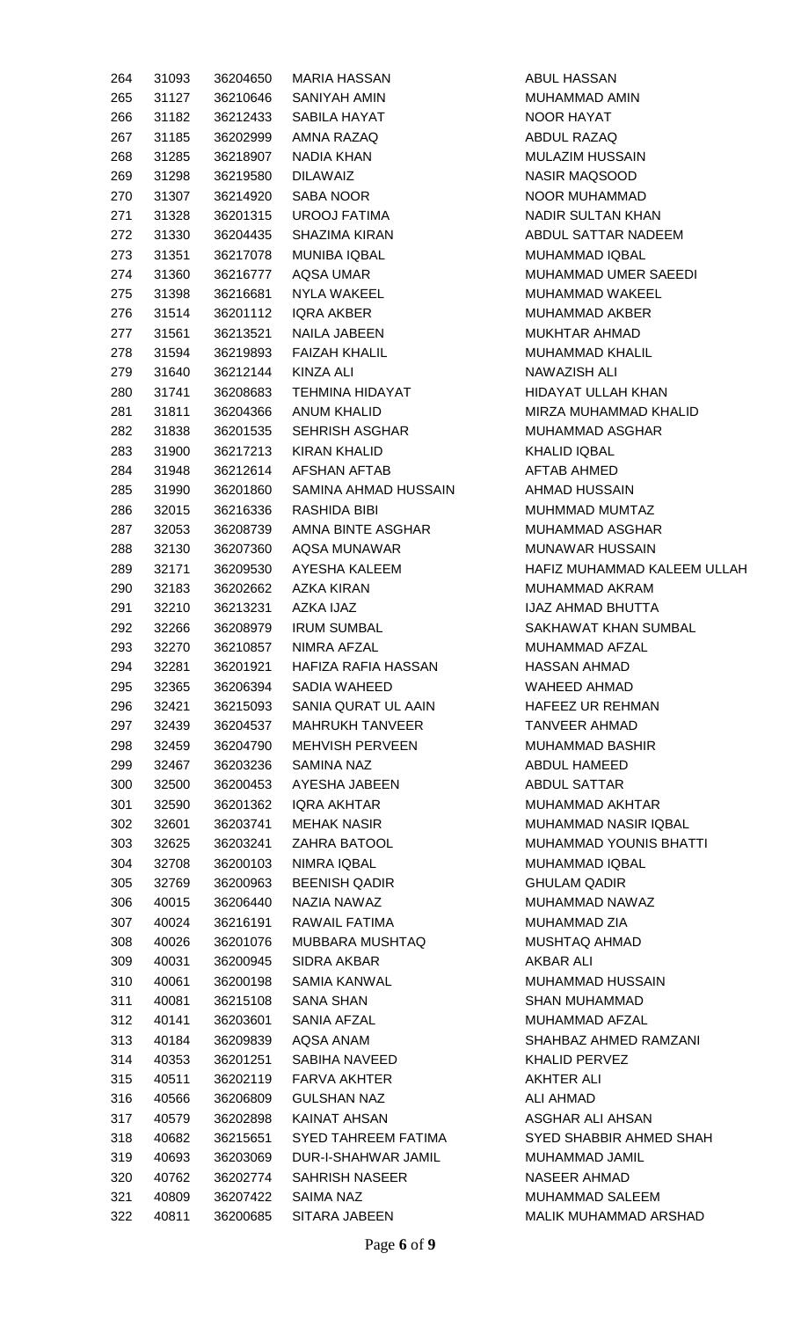| 264 | 31093     | 36204650           | <b>MARIA HASSAN</b>           | I            |
|-----|-----------|--------------------|-------------------------------|--------------|
| 265 | 31127     |                    | 36210646 SANIYAH AMIN         | Ŋ            |
|     | 266 31182 |                    | 36212433 SABILA HAYAT         | Ņ            |
| 267 | 31185     |                    | 36202999 AMNA RAZAQ           | F            |
| 268 | 31285     |                    | 36218907 NADIA KHAN           | Ŋ            |
| 269 | 31298     | 36219580 DILAWAIZ  |                               | Ņ            |
| 270 | 31307     |                    | 36214920 SABA NOOR            | Ņ            |
| 271 | 31328     |                    | 36201315 UROOJ FATIMA         | Ņ            |
| 272 | 31330     |                    | 36204435 SHAZIMA KIRAN        | f            |
| 273 | 31351     |                    | 36217078 MUNIBA IQBAL         | Ŋ            |
| 274 | 31360     |                    | 36216777 AQSA UMAR            | Ŋ            |
| 275 | 31398     |                    | 36216681 NYLA WAKEEL          | Ŋ            |
| 276 | 31514     |                    | 36201112 IQRA AKBER           | Ŋ            |
|     | 277 31561 |                    | 36213521 NAILA JABEEN         | Ŋ            |
|     | 278 31594 |                    | 36219893 FAIZAH KHALIL        | Ŋ            |
| 279 | 31640     | 36212144 KINZA ALI |                               | Ņ            |
| 280 | 31741     |                    | 36208683 TEHMINA HIDAYAT      | $\mathsf{H}$ |
|     | 281 31811 |                    | 36204366 ANUM KHALID          | Ŋ            |
|     | 282 31838 |                    | 36201535 SEHRISH ASGHAR       | Ŋ            |
| 283 | 31900     |                    | 36217213 KIRAN KHALID         | ŀ            |
| 284 | 31948     |                    | 36212614 AFSHAN AFTAB         | f            |
| 285 | 31990     |                    | 36201860 SAMINA AHMAD HUSSAIN | f            |
| 286 | 32015     |                    | 36216336 RASHIDA BIBI         | Ŋ            |
| 287 | 32053     |                    | 36208739 AMNA BINTE ASGHAR    | Ŋ            |
| 288 | 32130     |                    | 36207360 AQSA MUNAWAR         | Ŋ            |
| 289 | 32171     |                    | 36209530 AYESHA KALEEM        | ŀ            |
| 290 | 32183     |                    | 36202662 AZKA KIRAN           | Ŋ            |
| 291 | 32210     | 36213231 AZKA IJAZ |                               | ļ,           |
| 292 | 32266     |                    | 36208979 IRUM SUMBAL          | S            |
| 293 | 32270     |                    | 36210857 NIMRA AFZAL          | Ŋ            |
| 294 | 32281     | 36201921           | HAFIZA RAFIA HASSAN           | ŀ            |
| 295 | 32365     | 36206394           | <b>SADIA WAHEED</b>           | V            |
| 296 | 32421     | 36215093           | SANIA QURAT UL AAIN           | $\mathsf{H}$ |
| 297 | 32439     | 36204537           | <b>MAHRUKH TANVEER</b>        | I            |
| 298 | 32459     | 36204790           | <b>MEHVISH PERVEEN</b>        | Ŋ            |
| 299 | 32467     | 36203236           | <b>SAMINA NAZ</b>             | F            |
| 300 | 32500     | 36200453           | AYESHA JABEEN                 | f            |
| 301 | 32590     | 36201362           | IQRA AKHTAR                   | Ņ            |
| 302 | 32601     | 36203741           | <b>MEHAK NASIR</b>            | Ŋ            |
| 303 | 32625     | 36203241           | ZAHRA BATOOL                  | Ŋ            |
| 304 | 32708     | 36200103           | NIMRA IQBAL                   | Ŋ            |
| 305 | 32769     | 36200963           | <b>BEENISH QADIR</b>          | C            |
| 306 | 40015     | 36206440           | NAZIA NAWAZ                   | Ŋ            |
| 307 | 40024     | 36216191           | RAWAIL FATIMA                 | Ŋ            |
| 308 | 40026     | 36201076           | MUBBARA MUSHTAQ               | Ŋ            |
| 309 | 40031     | 36200945           | SIDRA AKBAR                   | F            |
| 310 | 40061     | 36200198           | SAMIA KANWAL                  | Ŋ            |
| 311 | 40081     | 36215108           | <b>SANA SHAN</b>              | S            |
| 312 | 40141     | 36203601           | SANIA AFZAL                   | Ŋ            |
| 313 | 40184     | 36209839           | AQSA ANAM                     | S            |
| 314 | 40353     | 36201251           | SABIHA NAVEED                 | ŀ            |
| 315 | 40511     | 36202119           | FARVA AKHTER                  | F            |
| 316 | 40566     | 36206809           | <b>GULSHAN NAZ</b>            | f            |
| 317 | 40579     | 36202898           | <b>KAINAT AHSAN</b>           |              |
| 318 | 40682     | 36215651           | SYED TAHREEM FATIMA           | ŀ<br>S       |
| 319 | 40693     | 36203069           | DUR-I-SHAHWAR JAMIL           | Ŋ            |
| 320 | 40762     | 36202774           | <b>SAHRISH NASEER</b>         | Ņ            |
| 321 | 40809     | 36207422           | SAIMA NAZ                     | Ŋ            |
| 322 | 40811     |                    | 36200685 SITARA JABEEN        | Ŋ            |
|     |           |                    |                               |              |

ABUL HASSAN **AUHAMMAD AMIN** NOOR HAYAT ABDUL RAZAQ **MULAZIM HUSSAIN VASIR MAQSOOD NOOR MUHAMMAD** NADIR SULTAN KHAN ABDUL SATTAR NADEEM **MUHAMMAD IQBAL MUHAMMAD UMER SAEEDI MUHAMMAD WAKEEL** MUHAMMAD AKBER **MUKHTAR AHMAD MUHAMMAD KHALIL** NAWAZISH ALI **HIDAYAT ULLAH KHAN MIRZA MUHAMMAD KHALID MUHAMMAD ASGHAR** KHALID IQBAL AFTAB AHMED AHMAD HUSSAIN **MUHMMAD MUMTAZ MUHAMMAD ASGHAR** MUNAWAR HUSSAIN 1AFIZ MUHAMMAD KALEEM ULLAH **MUHAMMAD AKRAM JAZ AHMAD BHUTTA** SAKHAWAT KHAN SUMBAL **MUHAMMAD AFZAL HASSAN AHMAD NAHEED AHMAD** 1AFEEZ UR REHMAN TANVEER AHMAD **MUHAMMAD BASHIR ABDUL HAMEED** ABDUL SATTAR **MUHAMMAD AKHTAR MUHAMMAD NASIR IQBAL MUHAMMAD YOUNIS BHATTI MUHAMMAD IQBAL GHULAM QADIR** MUHAMMAD NAWAZ **MUHAMMAD ZIA MUSHTAQ AHMAD** AKBAR ALI **MUHAMMAD HUSSAIN** SHAN MUHAMMAD **MUHAMMAD AFZAL** SHAHBAZ AHMED RAMZANI KHALID PERVEZ AKHTER ALI **ALI AHMAD ASGHAR ALI AHSAN** SYED SHABBIR AHMED SHAH 3<br>31 AMBAD JAMIL NASEER AHMAD **MUHAMMAD SALEEM MALIK MUHAMMAD ARSHAD**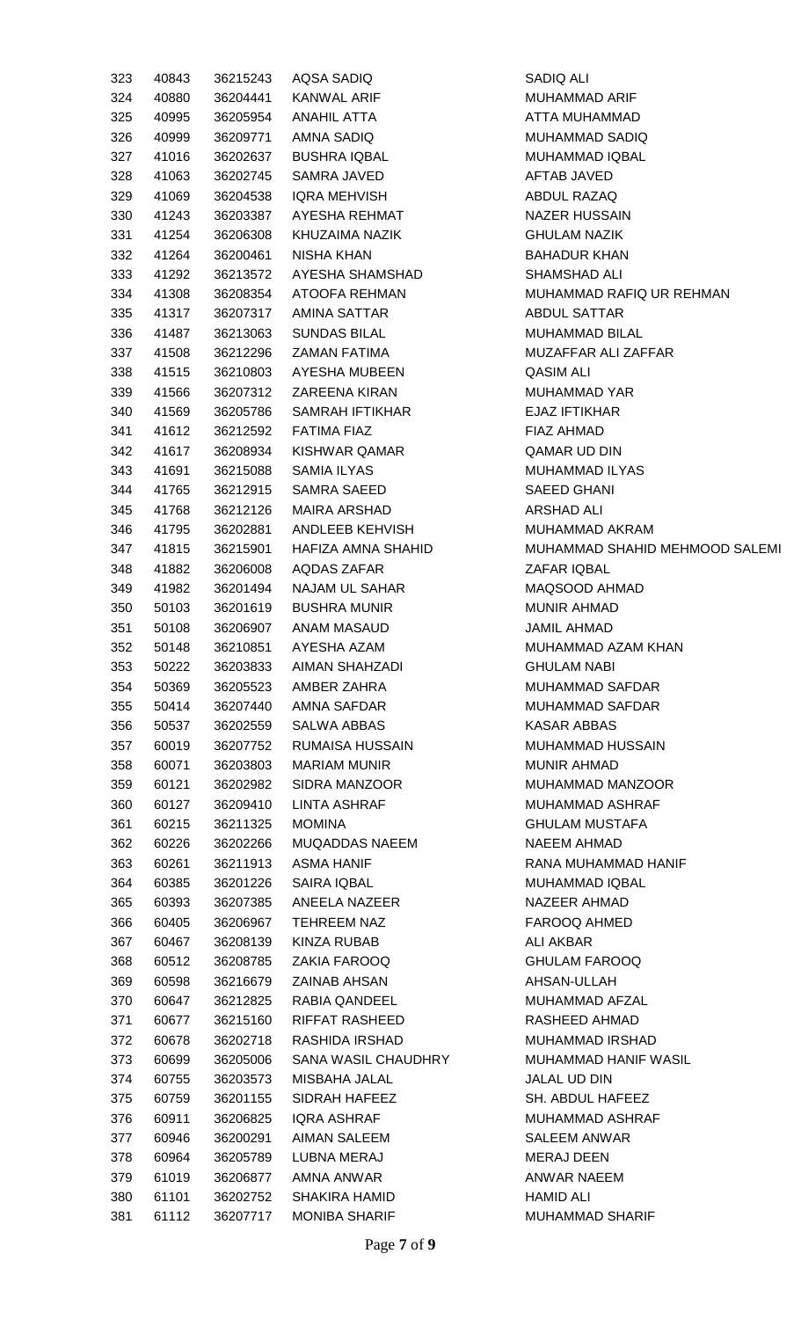| 323 | 40843 | 36215243 | AQSA SADIQ           | SADIQ ALI                         |
|-----|-------|----------|----------------------|-----------------------------------|
| 324 | 40880 | 36204441 | KANWAL ARIF          | MUHAMMAD ARIF                     |
| 325 | 40995 | 36205954 | ANAHIL ATTA          | ATTA MUHAMMAD                     |
| 326 | 40999 | 36209771 | AMNA SADIQ           | MUHAMMAD SADIQ                    |
| 327 | 41016 | 36202637 | <b>BUSHRA IQBAL</b>  | MUHAMMAD IQBAL                    |
| 328 | 41063 | 36202745 | SAMRA JAVED          | AFTAB JAVED                       |
| 329 | 41069 | 36204538 | IQRA MEHVISH         | ABDUL RAZAQ                       |
| 330 | 41243 | 36203387 | AYESHA REHMAT        | <b>NAZER HUSSAIN</b>              |
| 331 | 41254 | 36206308 | KHUZAIMA NAZIK       | <b>GHULAM NAZIK</b>               |
| 332 | 41264 | 36200461 | NISHA KHAN           | <b>BAHADUR KHAN</b>               |
| 333 | 41292 | 36213572 | AYESHA SHAMSHAD      | <b>SHAMSHAD ALI</b>               |
| 334 | 41308 | 36208354 | ATOOFA REHMAN        | MUHAMMAD RAFIQ UR REHMAN          |
| 335 | 41317 | 36207317 | AMINA SATTAR         | ABDUL SATTAR                      |
| 336 | 41487 | 36213063 | <b>SUNDAS BILAL</b>  | <b>MUHAMMAD BILAL</b>             |
| 337 | 41508 | 36212296 | ZAMAN FATIMA         | MUZAFFAR ALI ZAFFAR               |
| 338 | 41515 | 36210803 | AYESHA MUBEEN        | QASIM ALI                         |
| 339 | 41566 | 36207312 | <b>ZAREENA KIRAN</b> | MUHAMMAD YAR                      |
| 340 | 41569 | 36205786 | SAMRAH IFTIKHAR      | <b>EJAZ IFTIKHAR</b>              |
| 341 | 41612 | 36212592 | <b>FATIMA FIAZ</b>   | FIAZ AHMAD                        |
| 342 | 41617 | 36208934 | KISHWAR QAMAR        | QAMAR UD DIN                      |
| 343 | 41691 | 36215088 | SAMIA ILYAS          | MUHAMMAD ILYAS                    |
| 344 | 41765 | 36212915 | SAMRA SAEED          | SAEED GHANI                       |
| 345 | 41768 | 36212126 | MAIRA ARSHAD         | <b>ARSHAD ALI</b>                 |
| 346 | 41795 | 36202881 | ANDLEEB KEHVISH      | MUHAMMAD AKRAM                    |
| 347 | 41815 | 36215901 | HAFIZA AMNA SHAHID   | MUHAMMAD SHAHID MEHMOOD SALEMI    |
| 348 | 41882 | 36206008 | AQDAS ZAFAR          | ZAFAR IQBAL                       |
| 349 | 41982 | 36201494 | NAJAM UL SAHAR       | MAQSOOD AHMAD                     |
|     |       |          | <b>BUSHRA MUNIR</b>  |                                   |
| 350 | 50103 | 36201619 |                      | <b>MUNIR AHMAD</b>                |
| 351 | 50108 | 36206907 | ANAM MASAUD          | JAMIL AHMAD<br>MUHAMMAD AZAM KHAN |
| 352 | 50148 | 36210851 | AYESHA AZAM          |                                   |
| 353 | 50222 | 36203833 | AIMAN SHAHZADI       | <b>GHULAM NABI</b>                |
| 354 | 50369 | 36205523 | AMBER ZAHRA          | <b>MUHAMMAD SAFDAR</b>            |
| 355 | 50414 | 36207440 | AMNA SAFDAR          | MUHAMMAD SAFDAR                   |
| 356 | 50537 | 36202559 | SALWA ABBAS          | KASAR ABBAS                       |
| 357 | 60019 | 36207752 | RUMAISA HUSSAIN      | MUHAMMAD HUSSAIN                  |
| 358 | 60071 | 36203803 | <b>MARIAM MUNIR</b>  | <b>MUNIR AHMAD</b>                |
| 359 | 60121 | 36202982 | SIDRA MANZOOR        | MUHAMMAD MANZOOR                  |
| 360 | 60127 | 36209410 | LINTA ASHRAF         | MUHAMMAD ASHRAF                   |
| 361 | 60215 | 36211325 | <b>MOMINA</b>        | <b>GHULAM MUSTAFA</b>             |
| 362 | 60226 | 36202266 | MUQADDAS NAEEM       | NAEEM AHMAD                       |
| 363 | 60261 | 36211913 | ASMA HANIF           | RANA MUHAMMAD HANIF               |
| 364 | 60385 | 36201226 | SAIRA IQBAL          | MUHAMMAD IQBAL                    |
| 365 | 60393 | 36207385 | ANEELA NAZEER        | NAZEER AHMAD                      |
| 366 | 60405 | 36206967 | TEHREEM NAZ          | FAROOQ AHMED                      |
| 367 | 60467 | 36208139 | KINZA RUBAB          | ALI AKBAR                         |
| 368 | 60512 | 36208785 | ZAKIA FAROOQ         | <b>GHULAM FAROOQ</b>              |
| 369 | 60598 | 36216679 | ZAINAB AHSAN         | AHSAN-ULLAH                       |
| 370 | 60647 | 36212825 | RABIA QANDEEL        | MUHAMMAD AFZAL                    |
| 371 | 60677 | 36215160 | RIFFAT RASHEED       | RASHEED AHMAD                     |
| 372 | 60678 | 36202718 | RASHIDA IRSHAD       | <b>MUHAMMAD IRSHAD</b>            |
| 373 | 60699 | 36205006 | SANA WASIL CHAUDHRY  | MUHAMMAD HANIF WASIL              |
| 374 | 60755 | 36203573 | MISBAHA JALAL        | JALAL UD DIN                      |
| 375 | 60759 | 36201155 | SIDRAH HAFEEZ        | SH. ABDUL HAFEEZ                  |
| 376 | 60911 | 36206825 | <b>IQRA ASHRAF</b>   | MUHAMMAD ASHRAF                   |
| 377 | 60946 | 36200291 | AIMAN SALEEM         | SALEEM ANWAR                      |
| 378 | 60964 | 36205789 | LUBNA MERAJ          | <b>MERAJ DEEN</b>                 |
| 379 | 61019 | 36206877 | AMNA ANWAR           | ANWAR NAEEM                       |
| 380 | 61101 | 36202752 | SHAKIRA HAMID        | HAMID ALI                         |
| 381 | 61112 | 36207717 | <b>MONIBA SHARIF</b> | <b>MUHAMMAD SHARIF</b>            |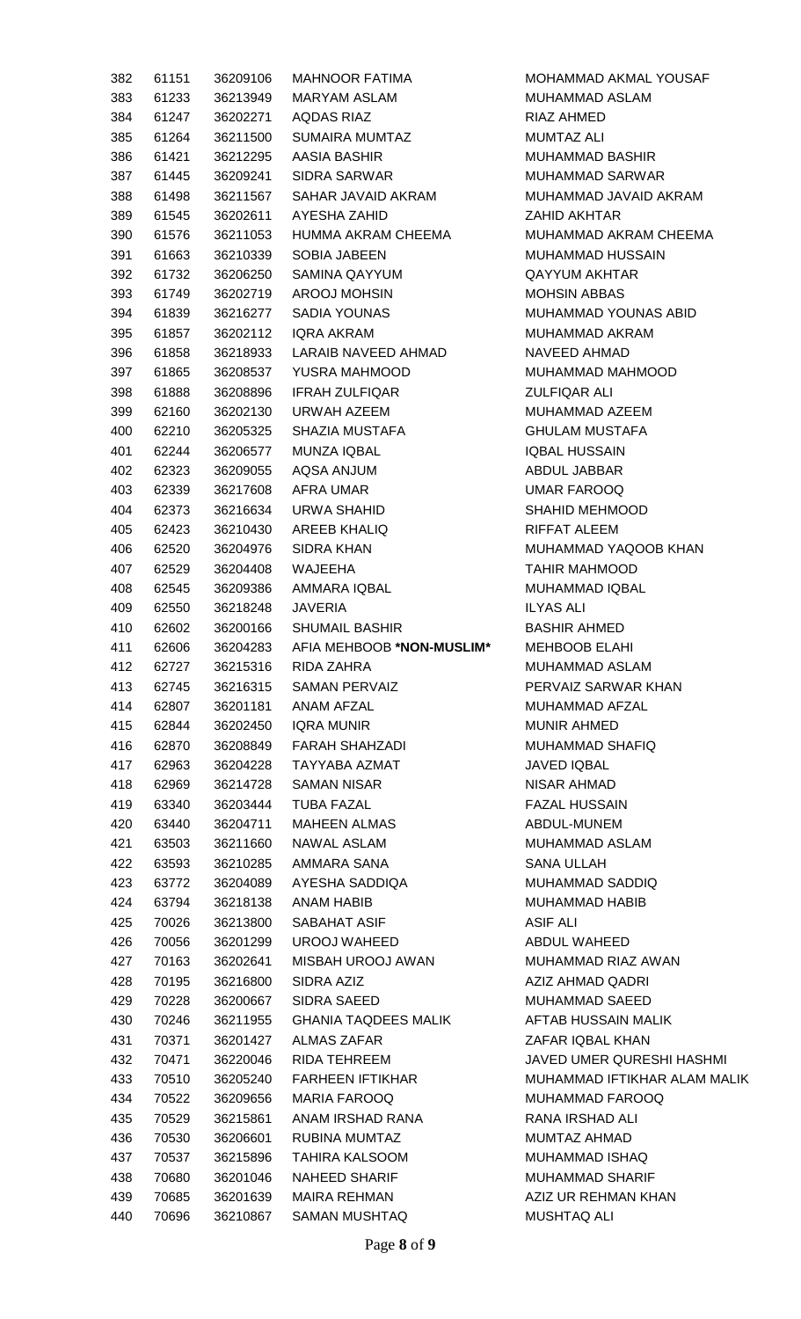| 382 | 61151 | 36209106 | MAHNOOR FATIMA                | MOHAMMAD AKMAL YOUSAF        |
|-----|-------|----------|-------------------------------|------------------------------|
| 383 | 61233 | 36213949 | MARYAM ASLAM                  | MUHAMMAD ASLAM               |
|     |       |          |                               |                              |
| 384 | 61247 | 36202271 | AQDAS RIAZ                    | RIAZ AHMED                   |
| 385 | 61264 | 36211500 | SUMAIRA MUMTAZ                | MUMTAZ ALI                   |
| 386 | 61421 | 36212295 | AASIA BASHIR                  | <b>MUHAMMAD BASHIR</b>       |
| 387 | 61445 | 36209241 | SIDRA SARWAR                  | MUHAMMAD SARWAR              |
| 388 | 61498 | 36211567 | SAHAR JAVAID AKRAM            | MUHAMMAD JAVAID AKRAM        |
| 389 | 61545 | 36202611 | AYESHA ZAHID                  | ZAHID AKHTAR                 |
| 390 | 61576 | 36211053 | HUMMA AKRAM CHEEMA            | MUHAMMAD AKRAM CHEEMA        |
| 391 | 61663 | 36210339 | <b>SOBIA JABEEN</b>           | MUHAMMAD HUSSAIN             |
| 392 | 61732 | 36206250 | SAMINA QAYYUM                 | QAYYUM AKHTAR                |
| 393 | 61749 | 36202719 | AROOJ MOHSIN                  | <b>MOHSIN ABBAS</b>          |
| 394 | 61839 | 36216277 | SADIA YOUNAS                  | MUHAMMAD YOUNAS ABID         |
| 395 | 61857 | 36202112 | IQRA AKRAM                    | MUHAMMAD AKRAM               |
| 396 | 61858 | 36218933 | LARAIB NAVEED AHMAD           | NAVEED AHMAD                 |
| 397 | 61865 | 36208537 | YUSRA MAHMOOD                 | MUHAMMAD MAHMOOD             |
| 398 | 61888 | 36208896 | <b>IFRAH ZULFIQAR</b>         | ZULFIQAR ALI                 |
| 399 | 62160 | 36202130 | URWAH AZEEM                   | MUHAMMAD AZEEM               |
| 400 | 62210 | 36205325 | SHAZIA MUSTAFA                | <b>GHULAM MUSTAFA</b>        |
|     |       |          | MUNZA IQBAL                   |                              |
| 401 | 62244 | 36206577 |                               | <b>IQBAL HUSSAIN</b>         |
| 402 | 62323 | 36209055 | AQSA ANJUM                    | ABDUL JABBAR                 |
| 403 | 62339 | 36217608 | AFRA UMAR                     | UMAR FAROOQ                  |
| 404 | 62373 | 36216634 | URWA SHAHID                   | SHAHID MEHMOOD               |
| 405 | 62423 | 36210430 | AREEB KHALIQ                  | RIFFAT ALEEM                 |
| 406 | 62520 | 36204976 | SIDRA KHAN                    | MUHAMMAD YAQOOB KHAN         |
| 407 | 62529 | 36204408 | WAJEEHA                       | <b>TAHIR MAHMOOD</b>         |
| 408 | 62545 | 36209386 | AMMARA IQBAL                  | MUHAMMAD IQBAL               |
| 409 | 62550 | 36218248 | JAVERIA                       | ILYAS ALI                    |
| 410 | 62602 | 36200166 | SHUMAIL BASHIR <b>SHUMAIL</b> | <b>BASHIR AHMED</b>          |
| 411 | 62606 | 36204283 | AFIA MEHBOOB *NON-MUSLIM*     | <b>MEHBOOB ELAHI</b>         |
| 412 | 62727 | 36215316 | RIDA ZAHRA                    | MUHAMMAD ASLAM               |
| 413 | 62745 | 36216315 | SAMAN PERVAIZ                 | PERVAIZ SARWAR KHAN          |
| 414 | 62807 | 36201181 | ANAM AFZAL                    | MUHAMMAD AFZAL               |
| 415 | 62844 | 36202450 | IQRA MUNIR                    | <b>MUNIR AHMED</b>           |
| 416 | 62870 | 36208849 | FARAH SHAHZADI                | MUHAMMAD SHAFIQ              |
| 417 | 62963 | 36204228 | TAYYABA AZMAT                 | JAVED IQBAL                  |
| 418 | 62969 | 36214728 | SAMAN NISAR                   | NISAR AHMAD                  |
| 419 | 63340 | 36203444 | TUBA FAZAL                    | <b>FAZAL HUSSAIN</b>         |
|     |       | 36204711 |                               |                              |
| 420 | 63440 |          | MAHEEN ALMAS                  | ABDUL-MUNEM                  |
| 421 | 63503 | 36211660 | NAWAL ASLAM                   | MUHAMMAD ASLAM               |
| 422 | 63593 | 36210285 | AMMARA SANA                   | SANA ULLAH                   |
| 423 | 63772 | 36204089 | AYESHA SADDIQA                | MUHAMMAD SADDIQ              |
| 424 | 63794 | 36218138 | <b>ANAM HABIB</b>             | MUHAMMAD HABIB               |
| 425 | 70026 | 36213800 | SABAHAT ASIF                  | ASIF ALI                     |
| 426 | 70056 | 36201299 | UROOJ WAHEED                  | ABDUL WAHEED                 |
| 427 | 70163 | 36202641 | MISBAH UROOJ AWAN             | MUHAMMAD RIAZ AWAN           |
| 428 | 70195 | 36216800 | SIDRA AZIZ                    | AZIZ AHMAD QADRI             |
| 429 | 70228 | 36200667 | SIDRA SAEED                   | MUHAMMAD SAEED               |
| 430 | 70246 | 36211955 | <b>GHANIA TAQDEES MALIK</b>   | AFTAB HUSSAIN MALIK          |
| 431 | 70371 | 36201427 | ALMAS ZAFAR                   | ZAFAR IQBAL KHAN             |
| 432 | 70471 | 36220046 | RIDA TEHREEM                  | JAVED UMER QURESHI HASHMI    |
| 433 | 70510 | 36205240 | FARHEEN IFTIKHAR              | MUHAMMAD IFTIKHAR ALAM MALIK |
| 434 | 70522 | 36209656 | MARIA FAROOQ                  | MUHAMMAD FAROOQ              |
| 435 | 70529 | 36215861 | ANAM IRSHAD RANA              | RANA IRSHAD ALI              |
| 436 | 70530 | 36206601 | RUBINA MUMTAZ                 | MUMTAZ AHMAD                 |
| 437 | 70537 | 36215896 | TAHIRA KALSOOM                | MUHAMMAD ISHAQ               |
| 438 | 70680 | 36201046 | NAHEED SHARIF                 | MUHAMMAD SHARIF              |
| 439 | 70685 | 36201639 | MAIRA REHMAN                  | AZIZ UR REHMAN KHAN          |
|     |       |          |                               |                              |
| 440 | 70696 | 36210867 | SAMAN MUSHTAQ                 | <b>MUSHTAQ ALI</b>           |